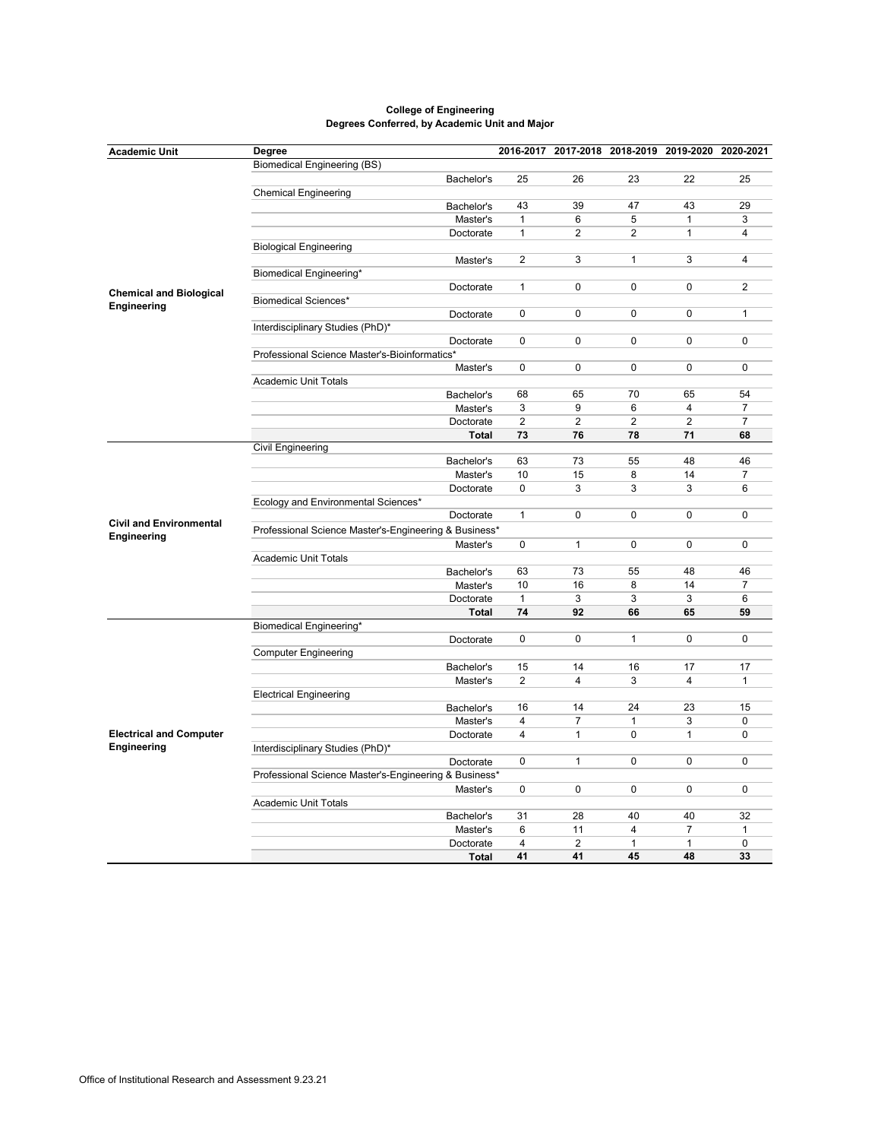| <b>Academic Unit</b>                          | Degree                                                |              |                |                | 2016-2017 2017-2018 2018-2019 2019-2020 2020-2021 |                |                |
|-----------------------------------------------|-------------------------------------------------------|--------------|----------------|----------------|---------------------------------------------------|----------------|----------------|
|                                               | <b>Biomedical Engineering (BS)</b>                    |              |                |                |                                                   |                |                |
|                                               |                                                       | Bachelor's   | 25             | 26             | 23                                                | 22             | 25             |
|                                               | <b>Chemical Engineering</b>                           |              |                |                |                                                   |                |                |
|                                               |                                                       | Bachelor's   | 43             | 39             | 47                                                | 43             | 29             |
|                                               |                                                       | Master's     | $\mathbf{1}$   | 6              | 5                                                 | $\mathbf{1}$   | 3              |
|                                               |                                                       | Doctorate    | $\mathbf{1}$   | $\mathbf{2}$   | $\overline{2}$                                    | $\mathbf{1}$   | 4              |
|                                               | <b>Biological Engineering</b>                         |              |                |                |                                                   |                |                |
|                                               |                                                       | Master's     | $\overline{2}$ | 3              | $\mathbf{1}$                                      | 3              | 4              |
|                                               | Biomedical Engineering*                               |              |                |                |                                                   |                |                |
|                                               |                                                       | Doctorate    | $\mathbf{1}$   | 0              | 0                                                 | $\pmb{0}$      | 2              |
| <b>Chemical and Biological</b>                | <b>Biomedical Sciences*</b>                           |              |                |                |                                                   |                |                |
| Engineering                                   |                                                       | Doctorate    | 0              | $\mathbf 0$    | 0                                                 | 0              | $\mathbf{1}$   |
|                                               | Interdisciplinary Studies (PhD)*                      |              |                |                |                                                   |                |                |
|                                               |                                                       | Doctorate    | $\mathbf 0$    | $\mathbf 0$    | 0                                                 | $\mathbf 0$    | $\mathbf 0$    |
|                                               | Professional Science Master's-Bioinformatics*         |              |                |                |                                                   |                |                |
|                                               |                                                       | Master's     | 0              | 0              | 0                                                 | 0              | $\pmb{0}$      |
|                                               | <b>Academic Unit Totals</b>                           |              |                |                |                                                   |                |                |
|                                               |                                                       | Bachelor's   | 68             | 65             | 70                                                | 65             | 54             |
|                                               |                                                       | Master's     | 3              | 9              | 6                                                 | 4              | $\overline{7}$ |
|                                               |                                                       | Doctorate    | $\overline{2}$ | $\overline{2}$ | $\overline{2}$                                    | $\overline{2}$ | $\overline{7}$ |
|                                               |                                                       | <b>Total</b> | 73             | 76             | 78                                                | 71             | 68             |
|                                               | <b>Civil Engineering</b>                              |              |                |                |                                                   |                |                |
|                                               |                                                       | Bachelor's   | 63             | 73             | 55                                                | 48             | 46             |
|                                               |                                                       | Master's     | 10             | 15             | 8                                                 | 14             | 7              |
|                                               |                                                       | Doctorate    | $\pmb{0}$      | 3              | 3                                                 | 3              | 6              |
|                                               | Ecology and Environmental Sciences*                   |              |                |                |                                                   |                |                |
|                                               |                                                       | Doctorate    | $\mathbf{1}$   | $\mathbf 0$    | 0                                                 | $\mathbf 0$    | $\mathbf 0$    |
| <b>Civil and Environmental</b>                | Professional Science Master's-Engineering & Business* |              |                |                |                                                   |                |                |
| Engineering                                   |                                                       |              |                |                |                                                   |                |                |
|                                               |                                                       | Master's     | 0              | $\mathbf{1}$   | 0                                                 | $\mathbf 0$    | $\mathbf 0$    |
|                                               | <b>Academic Unit Totals</b>                           |              |                |                |                                                   |                |                |
|                                               |                                                       | Bachelor's   | 63             | 73             | 55                                                | 48             | 46             |
|                                               |                                                       | Master's     | 10             | 16             | 8                                                 | 14             | $\overline{7}$ |
|                                               |                                                       | Doctorate    | $\mathbf{1}$   | 3              | 3                                                 | 3              | 6              |
|                                               |                                                       | <b>Total</b> | 74             | 92             | 66                                                | 65             | 59             |
| <b>Electrical and Computer</b><br>Engineering | Biomedical Engineering*                               |              |                |                |                                                   |                |                |
|                                               |                                                       | Doctorate    | $\mathbf 0$    | $\mathbf 0$    | $\mathbf{1}$                                      | $\mathbf 0$    | $\mathbf 0$    |
|                                               | <b>Computer Engineering</b>                           |              |                |                |                                                   |                |                |
|                                               |                                                       | Bachelor's   | 15             | 14             | 16                                                | 17             | 17             |
|                                               |                                                       | Master's     | $\overline{2}$ | $\overline{4}$ | 3                                                 | $\overline{4}$ | 1              |
|                                               | <b>Electrical Engineering</b>                         |              |                |                |                                                   |                |                |
|                                               |                                                       | Bachelor's   | 16             | 14             | 24                                                | 23             | 15             |
|                                               |                                                       | Master's     | $\overline{4}$ | $\overline{7}$ | $\mathbf{1}$                                      | 3              | 0              |
|                                               |                                                       | Doctorate    | $\overline{4}$ | $\mathbf{1}$   | 0                                                 | $\mathbf{1}$   | 0              |
|                                               | Interdisciplinary Studies (PhD)*                      |              |                |                |                                                   |                |                |
|                                               |                                                       | Doctorate    | 0              | $\mathbf{1}$   | 0                                                 | $\pmb{0}$      | $\pmb{0}$      |
|                                               | Professional Science Master's-Engineering & Business* |              |                |                |                                                   |                |                |
|                                               |                                                       | Master's     | $\mathbf 0$    | $\mathbf 0$    | 0                                                 | $\mathbf 0$    | $\mathbf 0$    |
|                                               | <b>Academic Unit Totals</b>                           |              |                |                |                                                   |                |                |
|                                               |                                                       | Bachelor's   | 31             | 28             | 40                                                | 40             | 32             |
|                                               |                                                       | Master's     | 6              | 11             | 4                                                 | 7              | 1              |
|                                               |                                                       | Doctorate    | $\overline{4}$ | $\overline{2}$ | $\mathbf{1}$                                      | $\mathbf{1}$   | $\mathbf 0$    |
|                                               |                                                       | <b>Total</b> | 41             | 41             | 45                                                | 48             | 33             |

## **College of Engineering Degrees Conferred, by Academic Unit and Major**